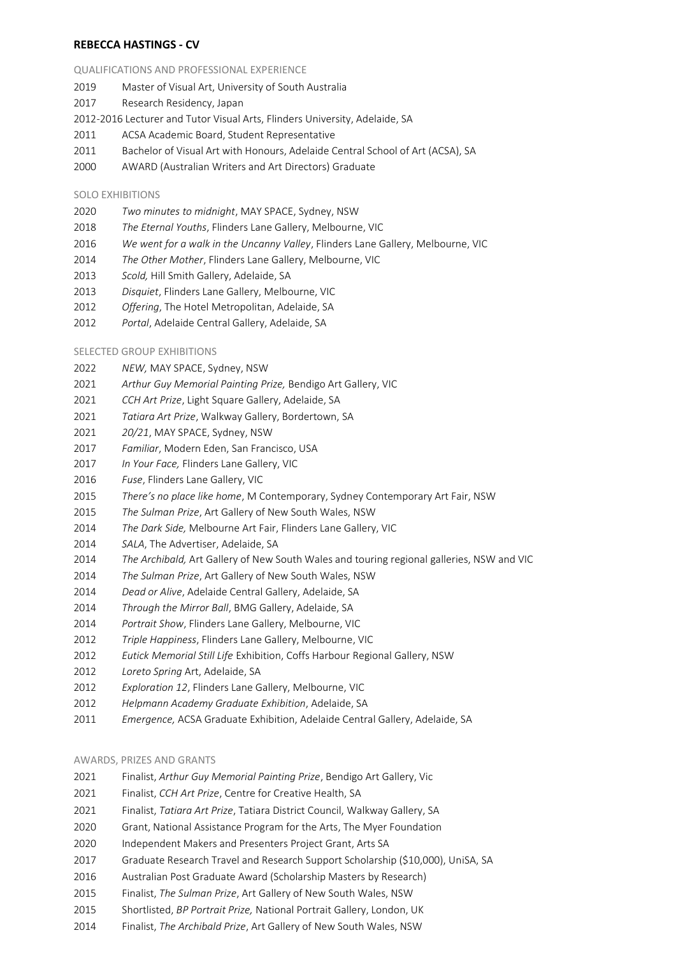# **REBECCA HASTINGS - CV**

## QUALIFICATIONS AND PROFESSIONAL EXPERIENCE

- Master of Visual Art, University of South Australia
- Research Residency, Japan

2012-2016 Lecturer and Tutor Visual Arts, Flinders University, Adelaide, SA

- ACSA Academic Board, Student Representative
- Bachelor of Visual Art with Honours, Adelaide Central School of Art (ACSA), SA
- AWARD (Australian Writers and Art Directors) Graduate

## SOLO EXHIBITIONS

- *Two minutes to midnight*, MAY SPACE, Sydney, NSW
- *The Eternal Youths*, Flinders Lane Gallery, Melbourne, VIC
- *We went for a walk in the Uncanny Valley*, Flinders Lane Gallery, Melbourne, VIC
- *The Other Mother*, Flinders Lane Gallery, Melbourne, VIC
- *Scold,* Hill Smith Gallery, Adelaide, SA
- *Disquiet*, Flinders Lane Gallery, Melbourne, VIC
- *Offering*, The Hotel Metropolitan, Adelaide, SA
- *Portal*, Adelaide Central Gallery, Adelaide, SA

## SELECTED GROUP EXHIBITIONS

- *NEW,* MAY SPACE, Sydney, NSW
- *Arthur Guy Memorial Painting Prize,* Bendigo Art Gallery, VIC
- *CCH Art Prize*, Light Square Gallery, Adelaide, SA
- *Tatiara Art Prize*, Walkway Gallery, Bordertown, SA
- *20/21*, MAY SPACE, Sydney, NSW
- *Familiar*, Modern Eden, San Francisco, USA
- *In Your Face,* Flinders Lane Gallery, VIC
- *Fuse*, Flinders Lane Gallery, VIC
- *There's no place like home*, M Contemporary, Sydney Contemporary Art Fair, NSW
- *The Sulman Prize*, Art Gallery of New South Wales, NSW
- *The Dark Side,* Melbourne Art Fair, Flinders Lane Gallery, VIC
- *SALA*, The Advertiser, Adelaide, SA
- *The Archibald,* Art Gallery of New South Wales and touring regional galleries, NSW and VIC
- *The Sulman Prize*, Art Gallery of New South Wales, NSW
- *Dead or Alive*, Adelaide Central Gallery, Adelaide, SA
- *Through the Mirror Ball*, BMG Gallery, Adelaide, SA
- *Portrait Show*, Flinders Lane Gallery, Melbourne, VIC
- *Triple Happiness*, Flinders Lane Gallery, Melbourne, VIC
- *Eutick Memorial Still Life* Exhibition, Coffs Harbour Regional Gallery, NSW
- *Loreto Spring* Art, Adelaide, SA
- *Exploration 12*, Flinders Lane Gallery, Melbourne, VIC
- *Helpmann Academy Graduate Exhibition*, Adelaide, SA
- *Emergence,* ACSA Graduate Exhibition, Adelaide Central Gallery, Adelaide, SA

### AWARDS, PRIZES AND GRANTS

- Finalist, *Arthur Guy Memorial Painting Prize*, Bendigo Art Gallery, Vic
- Finalist, *CCH Art Prize*, Centre for Creative Health, SA
- Finalist, *Tatiara Art Prize*, Tatiara District Council, Walkway Gallery, SA
- Grant, National Assistance Program for the Arts, The Myer Foundation
- Independent Makers and Presenters Project Grant, Arts SA
- Graduate Research Travel and Research Support Scholarship (\$10,000), UniSA, SA
- Australian Post Graduate Award (Scholarship Masters by Research)
- Finalist, *The Sulman Prize*, Art Gallery of New South Wales, NSW
- Shortlisted, *BP Portrait Prize,* National Portrait Gallery, London, UK
- Finalist, *The Archibald Prize*, Art Gallery of New South Wales, NSW